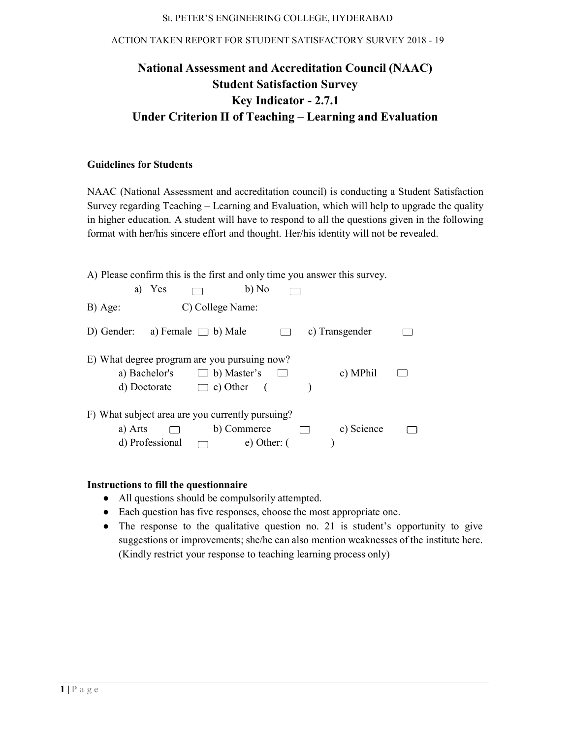# St. PETER'S ENGINEERING COLLEGE, HYDERABAD<br>ACTION TAKEN REPORT FOR STUDENT SATISFACTORY SURVEY 2018 - 19

# National Assessment Assessment and Accreditation Council (NAAC) Student Student Satisfaction Survey Under Criterion II of Teaching – Learning and Evaluation Key Indicator - 2.7.1

### Guidelines for Students

NAAC (National Assessment and accreditation council) is conducting a Student Satisfaction Survey regarding Teaching – Learning and Evaluation, which will help to upgrade the quality in higher education. A student will have to respond to all the questions given in the following format with her/his sincere effort and thought. Her/his identity will not be revealed. NAAC (National Assessment and accreditation council) is conducting a Student Satisfaction<br>Survey regarding Teaching – Learning and Evaluation, which will help to upgrade the quality<br>in higher education. A student will have

| NAAC (National Assessment and accreditation council) is conducting a Student Satisfaction       |
|-------------------------------------------------------------------------------------------------|
| Survey regarding Teaching - Learning and Evaluation, which will help to upgrade the quality     |
| in higher education. A student will have to respond to all the questions given in the following |
| format with her/his sincere effort and thought. Her/his identity will not be revealed.          |
|                                                                                                 |
| A) Please confirm this is the first and only time you answer this survey.                       |
| b) No<br>a) Yes                                                                                 |
|                                                                                                 |
| C) College Name:<br>B) Age:                                                                     |
| a) Female $\Box$ b) Male<br>c) Transgender<br>D) Gender:<br>$\Box$                              |
|                                                                                                 |
| E) What degree program are you pursuing now?                                                    |
| a) Bachelor's<br>$\Box$ b) Master's<br>c) MPhil                                                 |
| $\Box$ e) Other<br>d) Doctorate<br>$\sqrt{ }$                                                   |
|                                                                                                 |
| F) What subject area are you currently pursuing?                                                |
| b) Commerce<br>c) Science<br>a) Arts<br>$\Box$                                                  |
| d) Professional<br>$e)$ Other: $($<br>$\Box$                                                    |
|                                                                                                 |
|                                                                                                 |
| Instructions to fill the questionnaire                                                          |
| All questions should be compulsorily attempted.<br>$\bullet$                                    |
| Each question has five responses, choose the most appropriate one.                              |
| The response to the qualitative question no. 21 is student's opportunity to give                |

#### Instructions to fill the questionnaire

- All questions should be compulsorily attempted.
- Each question has five responses, choose the most appropriate one.
- The response to the qualitative question no. 21 is student's opportunity to give suggestions or improvements; she/he can also mention weaknesses of the institute here. (Kindly restrict your response to to teaching learning process only)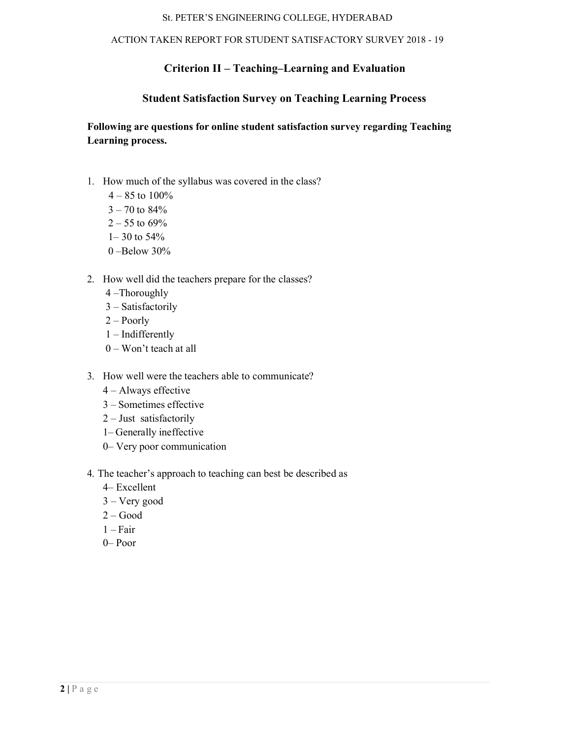#### ACTION TAKEN REPORT FOR STUDENT SATISFACTORY SURVEY 2018 - 19

# Criterion II – Teaching–Learning and Evaluation

# Student Satisfaction Survey on Teaching Learning Process

Following are questions for online student satisfaction survey regarding Teaching Learning process.

- 1. How much of the syllabus was covered in the class?
	- $4 85$  to  $100\%$
	- $3 70$  to  $84%$
	- $2 55$  to 69%
	- $1-30$  to 54%
	- 0 –Below 30%
- 2. How well did the teachers prepare for the classes?
	- 4 –Thoroughly
	- 3 Satisfactorily
	- 2 Poorly
	- 1 Indifferently
	- 0 Won't teach at all
- 3. How well were the teachers able to communicate?
	- 4 Always effective
	- 3 Sometimes effective
	- 2 Just satisfactorily
	- 1– Generally ineffective
	- 0– Very poor communication
- 4. The teacher's approach to teaching can best be described as
	- 4– Excellent
	- 3 Very good
	- 2 Good
	- $1 Fair$
	- 0– Poor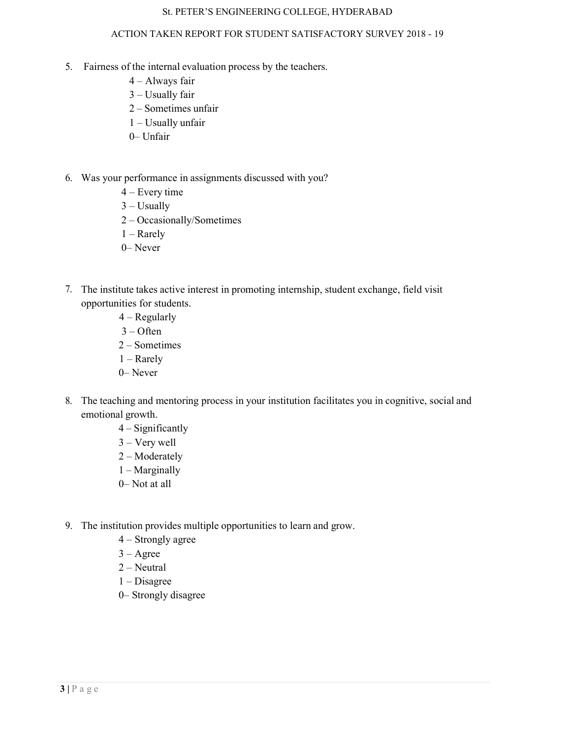- 5. Fairness of the internal evaluation process by the teachers.
	- 4 Always fair
	- 3 Usually fair
	- 2 Sometimes unfair
	- 1 Usually unfair
	- 0– Unfair
- 6. Was your performance in assignments discussed with you?
	- 4 Every time
	- $3 U$ sually
	- 2 Occasionally/Sometimes
	- 1 Rarely
	- 0– Never
- 7. The institute takes active interest in promoting internship, student exchange, field visit opportunities for students.
	- 4 Regularly
	- $3 -$ Often
	- 2 Sometimes
	- 1 Rarely
	- 0– Never
- 8. The teaching and mentoring process in your institution facilitates you in cognitive, social and emotional growth.
	- 4 Significantly
	- 3 Very well
	- 2 Moderately
	- 1 Marginally
	- 0– Not at all
- 9. The institution provides multiple opportunities to learn and grow.
	- 4 Strongly agree
	- 3 Agree
	- 2 Neutral
	- 1 Disagree
	- 0– Strongly disagree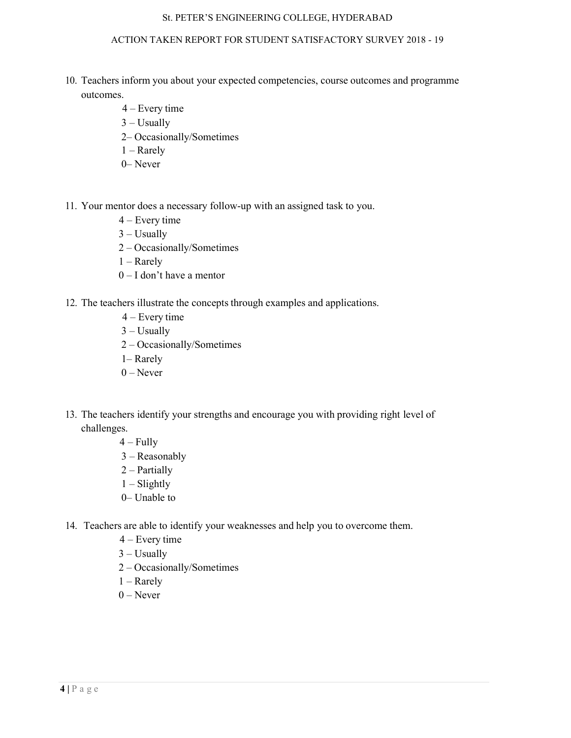- 10. Teachers inform you about your expected competencies, course outcomes and programme outcomes.
	- 4 Every time
	- $3 U$ sually
	- 2– Occasionally/Sometimes
	- 1 Rarely
	- 0– Never
- 11. Your mentor does a necessary follow-up with an assigned task to you.
	- 4 Every time
	- $3 U$ sually
	- 2 Occasionally/Sometimes
	- 1 Rarely
	- 0 I don't have a mentor
- 12. The teachers illustrate the concepts through examples and applications.
	- 4 Every time
	- $3 U$ sually
	- 2 Occasionally/Sometimes
	- 1– Rarely
	- $0$  Never
- 13. The teachers identify your strengths and encourage you with providing right level of challenges.
	- $4 Fully$
	- 3 Reasonably
	- 2 Partially
	- $1 S$ lightly
	- 0– Unable to
- 14. Teachers are able to identify your weaknesses and help you to overcome them.
	- 4 Every time
	- $3 U$ sually
	- 2 Occasionally/Sometimes
	- 1 Rarely
	- $0$  Never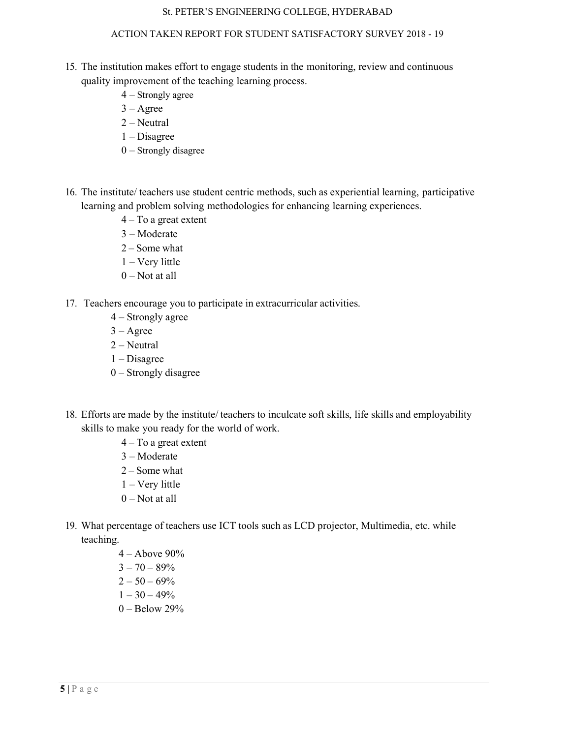- 15. The institution makes effort to engage students in the monitoring, review and continuous quality improvement of the teaching learning process.
	- 4 Strongly agree
	- $3 \text{Agree}$
	- 2 Neutral
	- 1 Disagree
	- 0 Strongly disagree
- 16. The institute/ teachers use student centric methods, such as experiential learning, participative learning and problem solving methodologies for enhancing learning experiences.
	- 4 To a great extent
	- 3 Moderate
	- 2 Some what
	- 1 Very little
	- $0$  Not at all
- 17. Teachers encourage you to participate in extracurricular activities.
	- 4 Strongly agree
	- $3 \text{Agree}$
	- 2 Neutral
	- 1 Disagree
	- 0 Strongly disagree
- 18. Efforts are made by the institute/ teachers to inculcate soft skills, life skills and employability skills to make you ready for the world of work.
	- 4 To a great extent
	- 3 Moderate
	- 2 Some what
	- 1 Very little
	- 0 Not at all
- 19. What percentage of teachers use ICT tools such as LCD projector, Multimedia, etc. while teaching.
	- 4 Above 90%  $3 - 70 - 89%$
	- $2 50 69%$
	- $1 30 49%$
	- 0 Below 29%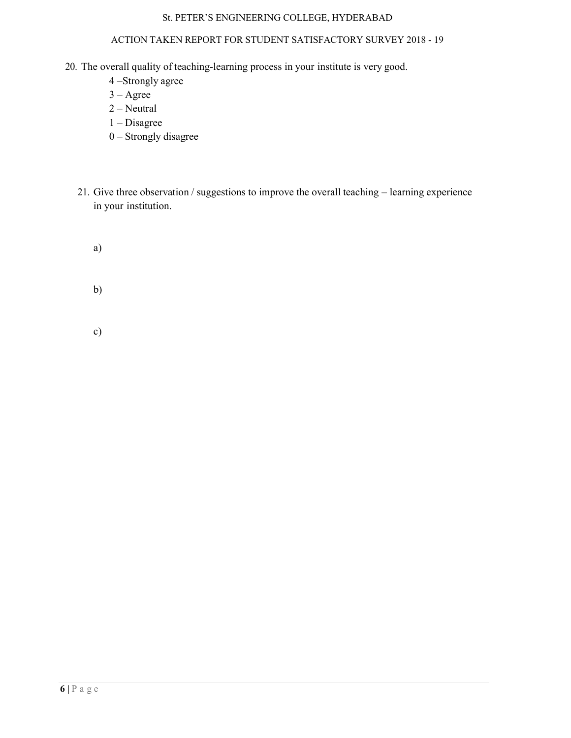- 20. The overall quality of teaching-learning process in your institute is very good.
	- 4 –Strongly agree
	- $3 \text{Agree}$
	- 2 Neutral
	- 1 Disagree
	- 0 Strongly disagree
	- 21. Give three observation / suggestions to improve the overall teaching learning experience in your institution.
		- a)
		- b)
		- c)